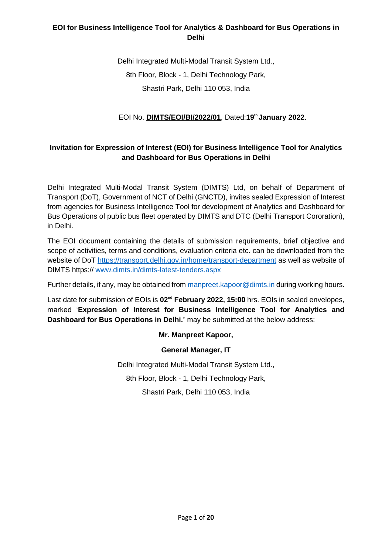Delhi Integrated Multi-Modal Transit System Ltd., 8th Floor, Block - 1, Delhi Technology Park, Shastri Park, Delhi 110 053, India

## EOI No. **DIMTS/EOI/BI/2022/01**, Dated:**19th January 2022**.

## **Invitation for Expression of Interest (EOI) for Business Intelligence Tool for Analytics and Dashboard for Bus Operations in Delhi**

Delhi Integrated Multi-Modal Transit System (DIMTS) Ltd, on behalf of Department of Transport (DoT), Government of NCT of Delhi (GNCTD), invites sealed Expression of Interest from agencies for Business Intelligence Tool for development of Analytics and Dashboard for Bus Operations of public bus fleet operated by DIMTS and DTC (Delhi Transport Cororation), in Delhi.

The EOI document containing the details of submission requirements, brief objective and scope of activities, terms and conditions, evaluation criteria etc. can be downloaded from the website of DoT <https://transport.delhi.gov.in/home/transport-department> as well as website of DIMTS https:// [www.dimts.in/dimts-latest-tenders.aspx](http://www.dimts.in/dimts-latest-tenders.aspx)

Further details, if any, may be obtained from [manpreet.kapoor@dimts.in](mailto:manpreet.kapoor@dimts.in) during working hours.

Last date for submission of EOIs is  $02^{nd}$  February 2022, 15:00 hrs. EOIs in sealed envelopes, marked '**Expression of Interest for Business Intelligence Tool for Analytics and Dashboard for Bus Operations in Delhi.'** may be submitted at the below address:

### **Mr. Manpreet Kapoor,**

#### **General Manager, IT**

Delhi Integrated Multi-Modal Transit System Ltd., 8th Floor, Block - 1, Delhi Technology Park, Shastri Park, Delhi 110 053, India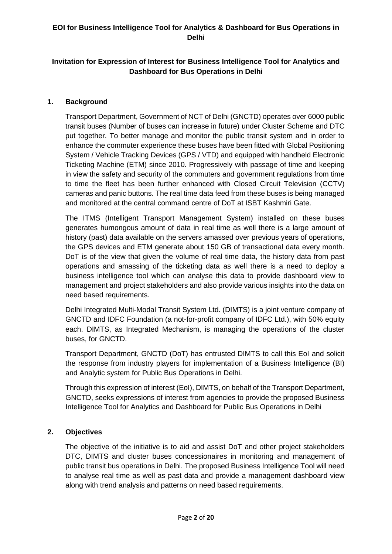## **Invitation for Expression of Interest for Business Intelligence Tool for Analytics and Dashboard for Bus Operations in Delhi**

### **1. Background**

Transport Department, Government of NCT of Delhi (GNCTD) operates over 6000 public transit buses (Number of buses can increase in future) under Cluster Scheme and DTC put together. To better manage and monitor the public transit system and in order to enhance the commuter experience these buses have been fitted with Global Positioning System / Vehicle Tracking Devices (GPS / VTD) and equipped with handheld Electronic Ticketing Machine (ETM) since 2010. Progressively with passage of time and keeping in view the safety and security of the commuters and government regulations from time to time the fleet has been further enhanced with Closed Circuit Television (CCTV) cameras and panic buttons. The real time data feed from these buses is being managed and monitored at the central command centre of DoT at ISBT Kashmiri Gate.

The ITMS (Intelligent Transport Management System) installed on these buses generates humongous amount of data in real time as well there is a large amount of history (past) data available on the servers amassed over previous years of operations, the GPS devices and ETM generate about 150 GB of transactional data every month. DoT is of the view that given the volume of real time data, the history data from past operations and amassing of the ticketing data as well there is a need to deploy a business intelligence tool which can analyse this data to provide dashboard view to management and project stakeholders and also provide various insights into the data on need based requirements.

Delhi Integrated Multi-Modal Transit System Ltd. (DIMTS) is a joint venture company of GNCTD and IDFC Foundation (a not-for-profit company of IDFC Ltd.), with 50% equity each. DIMTS, as Integrated Mechanism, is managing the operations of the cluster buses, for GNCTD.

Transport Department, GNCTD (DoT) has entrusted DIMTS to call this EoI and solicit the response from industry players for implementation of a Business Intelligence (BI) and Analytic system for Public Bus Operations in Delhi.

Through this expression of interest (EoI), DIMTS, on behalf of the Transport Department, GNCTD, seeks expressions of interest from agencies to provide the proposed Business Intelligence Tool for Analytics and Dashboard for Public Bus Operations in Delhi

### **2. Objectives**

The objective of the initiative is to aid and assist DoT and other project stakeholders DTC, DIMTS and cluster buses concessionaires in monitoring and management of public transit bus operations in Delhi. The proposed Business Intelligence Tool will need to analyse real time as well as past data and provide a management dashboard view along with trend analysis and patterns on need based requirements.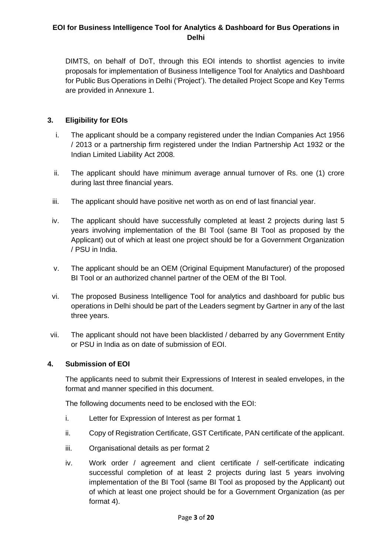DIMTS, on behalf of DoT, through this EOI intends to shortlist agencies to invite proposals for implementation of Business Intelligence Tool for Analytics and Dashboard for Public Bus Operations in Delhi ('Project'). The detailed Project Scope and Key Terms are provided in Annexure 1.

### **3. Eligibility for EOIs**

- i. The applicant should be a company registered under the Indian Companies Act 1956 / 2013 or a partnership firm registered under the Indian Partnership Act 1932 or the Indian Limited Liability Act 2008.
- ii. The applicant should have minimum average annual turnover of Rs. one (1) crore during last three financial years.
- iii. The applicant should have positive net worth as on end of last financial year.
- iv. The applicant should have successfully completed at least 2 projects during last 5 years involving implementation of the BI Tool (same BI Tool as proposed by the Applicant) out of which at least one project should be for a Government Organization / PSU in India.
- v. The applicant should be an OEM (Original Equipment Manufacturer) of the proposed BI Tool or an authorized channel partner of the OEM of the BI Tool.
- vi. The proposed Business Intelligence Tool for analytics and dashboard for public bus operations in Delhi should be part of the Leaders segment by Gartner in any of the last three years.
- vii. The applicant should not have been blacklisted / debarred by any Government Entity or PSU in India as on date of submission of EOI.

#### **4. Submission of EOI**

The applicants need to submit their Expressions of Interest in sealed envelopes, in the format and manner specified in this document.

The following documents need to be enclosed with the EOI:

- i. Letter for Expression of Interest as per format 1
- ii. Copy of Registration Certificate, GST Certificate, PAN certificate of the applicant.
- iii. Organisational details as per format 2
- iv. Work order / agreement and client certificate / self-certificate indicating successful completion of at least 2 projects during last 5 years involving implementation of the BI Tool (same BI Tool as proposed by the Applicant) out of which at least one project should be for a Government Organization (as per format 4).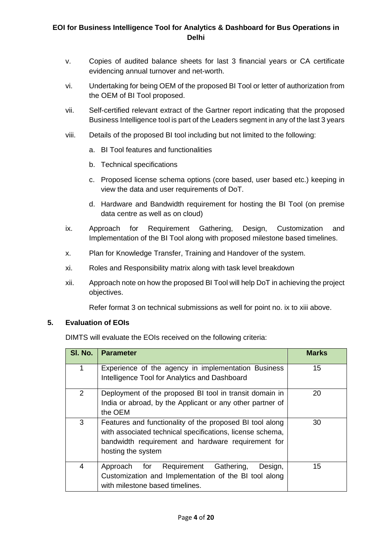- v. Copies of audited balance sheets for last 3 financial years or CA certificate evidencing annual turnover and net-worth.
- vi. Undertaking for being OEM of the proposed BI Tool or letter of authorization from the OEM of BI Tool proposed.
- vii. Self-certified relevant extract of the Gartner report indicating that the proposed Business Intelligence tool is part of the Leaders segment in any of the last 3 years
- viii. Details of the proposed BI tool including but not limited to the following:
	- a. BI Tool features and functionalities
	- b. Technical specifications
	- c. Proposed license schema options (core based, user based etc.) keeping in view the data and user requirements of DoT.
	- d. Hardware and Bandwidth requirement for hosting the BI Tool (on premise data centre as well as on cloud)
- ix. Approach for Requirement Gathering, Design, Customization and Implementation of the BI Tool along with proposed milestone based timelines.
- x. Plan for Knowledge Transfer, Training and Handover of the system.
- xi. Roles and Responsibility matrix along with task level breakdown
- xii. Approach note on how the proposed BI Tool will help DoT in achieving the project objectives.

Refer format 3 on technical submissions as well for point no. ix to xiii above.

### **5. Evaluation of EOIs**

DIMTS will evaluate the EOIs received on the following criteria:

| SI. No.        | <b>Parameter</b>                                                                                                                                                                                  | <b>Marks</b> |
|----------------|---------------------------------------------------------------------------------------------------------------------------------------------------------------------------------------------------|--------------|
| $\mathbf{1}$   | Experience of the agency in implementation Business<br>Intelligence Tool for Analytics and Dashboard                                                                                              | 15           |
| $\overline{2}$ | Deployment of the proposed BI tool in transit domain in<br>India or abroad, by the Applicant or any other partner of<br>the OEM                                                                   | 20           |
| 3              | Features and functionality of the proposed BI tool along<br>with associated technical specifications, license schema,<br>bandwidth requirement and hardware requirement for<br>hosting the system | 30           |
| 4              | Requirement Gathering,<br>Design,<br>Approach<br>for<br>Customization and Implementation of the BI tool along<br>with milestone based timelines.                                                  | 15           |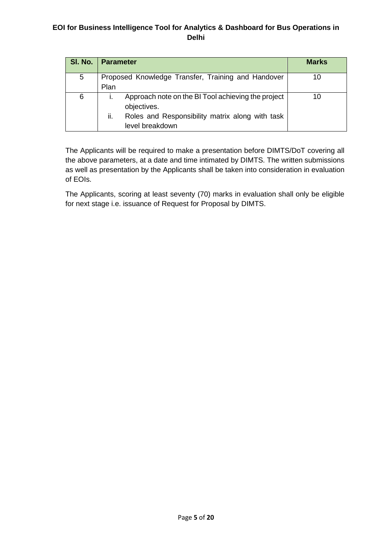| SI. No. | <b>Parameter</b>                                                                                                                               | <b>Marks</b> |
|---------|------------------------------------------------------------------------------------------------------------------------------------------------|--------------|
| 5       | Proposed Knowledge Transfer, Training and Handover<br>Plan                                                                                     | 10           |
| 6       | Approach note on the BI Tool achieving the project<br>objectives.<br>ii.<br>Roles and Responsibility matrix along with task<br>level breakdown | 10           |

The Applicants will be required to make a presentation before DIMTS/DoT covering all the above parameters, at a date and time intimated by DIMTS. The written submissions as well as presentation by the Applicants shall be taken into consideration in evaluation of EOIs.

The Applicants, scoring at least seventy (70) marks in evaluation shall only be eligible for next stage i.e. issuance of Request for Proposal by DIMTS.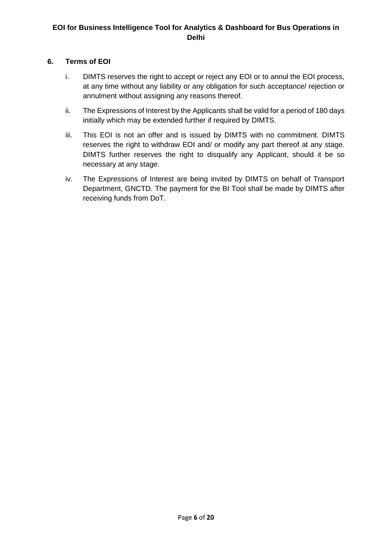### **6. Terms of EOI**

- i. DIMTS reserves the right to accept or reject any EOI or to annul the EOI process, at any time without any liability or any obligation for such acceptance/ rejection or annulment without assigning any reasons thereof.
- ii. The Expressions of Interest by the Applicants shall be valid for a period of 180 days initially which may be extended further if required by DIMTS.
- iii. This EOI is not an offer and is issued by DIMTS with no commitment. DIMTS reserves the right to withdraw EOI and/ or modify any part thereof at any stage. DIMTS further reserves the right to disqualify any Applicant, should it be so necessary at any stage.
- iv. The Expressions of Interest are being invited by DIMTS on behalf of Transport Department, GNCTD. The payment for the BI Tool shall be made by DIMTS after receiving funds from DoT.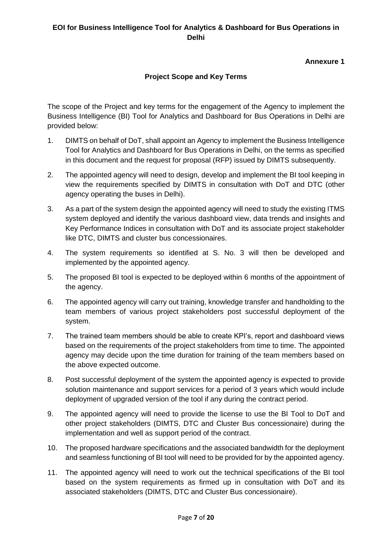### **Annexure 1**

## **Project Scope and Key Terms**

The scope of the Project and key terms for the engagement of the Agency to implement the Business Intelligence (BI) Tool for Analytics and Dashboard for Bus Operations in Delhi are provided below:

- 1. DIMTS on behalf of DoT, shall appoint an Agency to implement the Business Intelligence Tool for Analytics and Dashboard for Bus Operations in Delhi, on the terms as specified in this document and the request for proposal (RFP) issued by DIMTS subsequently.
- 2. The appointed agency will need to design, develop and implement the BI tool keeping in view the requirements specified by DIMTS in consultation with DoT and DTC (other agency operating the buses in Delhi).
- 3. As a part of the system design the appointed agency will need to study the existing ITMS system deployed and identify the various dashboard view, data trends and insights and Key Performance Indices in consultation with DoT and its associate project stakeholder like DTC, DIMTS and cluster bus concessionaires.
- 4. The system requirements so identified at S. No. 3 will then be developed and implemented by the appointed agency.
- 5. The proposed BI tool is expected to be deployed within 6 months of the appointment of the agency.
- 6. The appointed agency will carry out training, knowledge transfer and handholding to the team members of various project stakeholders post successful deployment of the system.
- 7. The trained team members should be able to create KPI's, report and dashboard views based on the requirements of the project stakeholders from time to time. The appointed agency may decide upon the time duration for training of the team members based on the above expected outcome.
- 8. Post successful deployment of the system the appointed agency is expected to provide solution maintenance and support services for a period of 3 years which would include deployment of upgraded version of the tool if any during the contract period.
- 9. The appointed agency will need to provide the license to use the BI Tool to DoT and other project stakeholders (DIMTS, DTC and Cluster Bus concessionaire) during the implementation and well as support period of the contract.
- 10. The proposed hardware specifications and the associated bandwidth for the deployment and seamless functioning of BI tool will need to be provided for by the appointed agency.
- 11. The appointed agency will need to work out the technical specifications of the BI tool based on the system requirements as firmed up in consultation with DoT and its associated stakeholders (DIMTS, DTC and Cluster Bus concessionaire).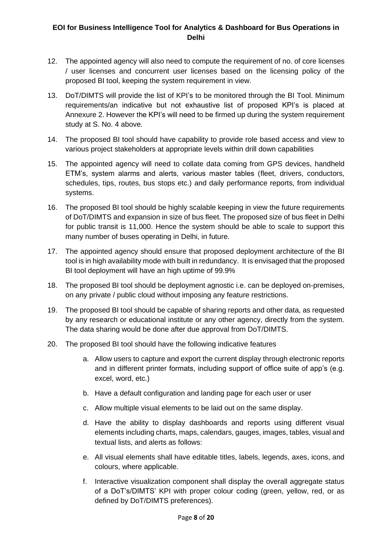- 12. The appointed agency will also need to compute the requirement of no. of core licenses / user licenses and concurrent user licenses based on the licensing policy of the proposed BI tool, keeping the system requirement in view.
- 13. DoT/DIMTS will provide the list of KPI's to be monitored through the BI Tool. Minimum requirements/an indicative but not exhaustive list of proposed KPI's is placed at Annexure 2. However the KPI's will need to be firmed up during the system requirement study at S. No. 4 above.
- 14. The proposed BI tool should have capability to provide role based access and view to various project stakeholders at appropriate levels within drill down capabilities
- 15. The appointed agency will need to collate data coming from GPS devices, handheld ETM's, system alarms and alerts, various master tables (fleet, drivers, conductors, schedules, tips, routes, bus stops etc.) and daily performance reports, from individual systems.
- 16. The proposed BI tool should be highly scalable keeping in view the future requirements of DoT/DIMTS and expansion in size of bus fleet. The proposed size of bus fleet in Delhi for public transit is 11,000. Hence the system should be able to scale to support this many number of buses operating in Delhi, in future.
- 17. The appointed agency should ensure that proposed deployment architecture of the BI tool is in high availability mode with built in redundancy. It is envisaged that the proposed BI tool deployment will have an high uptime of 99.9%
- 18. The proposed BI tool should be deployment agnostic i.e. can be deployed on-premises, on any private / public cloud without imposing any feature restrictions.
- 19. The proposed BI tool should be capable of sharing reports and other data, as requested by any research or educational institute or any other agency, directly from the system. The data sharing would be done after due approval from DoT/DIMTS.
- 20. The proposed BI tool should have the following indicative features
	- a. Allow users to capture and export the current display through electronic reports and in different printer formats, including support of office suite of app's (e.g. excel, word, etc.)
	- b. Have a default configuration and landing page for each user or user
	- c. Allow multiple visual elements to be laid out on the same display.
	- d. Have the ability to display dashboards and reports using different visual elements including charts, maps, calendars, gauges, images, tables, visual and textual lists, and alerts as follows:
	- e. All visual elements shall have editable titles, labels, legends, axes, icons, and colours, where applicable.
	- f. Interactive visualization component shall display the overall aggregate status of a DoT's/DIMTS' KPI with proper colour coding (green, yellow, red, or as defined by DoT/DIMTS preferences).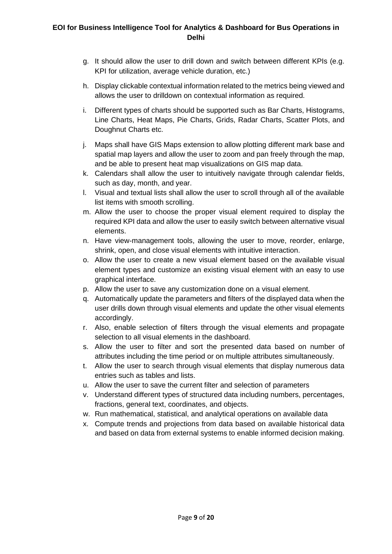- g. It should allow the user to drill down and switch between different KPIs (e.g. KPI for utilization, average vehicle duration, etc.)
- h. Display clickable contextual information related to the metrics being viewed and allows the user to drilldown on contextual information as required.
- i. Different types of charts should be supported such as Bar Charts, Histograms, Line Charts, Heat Maps, Pie Charts, Grids, Radar Charts, Scatter Plots, and Doughnut Charts etc.
- j. Maps shall have GIS Maps extension to allow plotting different mark base and spatial map layers and allow the user to zoom and pan freely through the map, and be able to present heat map visualizations on GIS map data.
- k. Calendars shall allow the user to intuitively navigate through calendar fields, such as day, month, and year.
- l. Visual and textual lists shall allow the user to scroll through all of the available list items with smooth scrolling.
- m. Allow the user to choose the proper visual element required to display the required KPI data and allow the user to easily switch between alternative visual elements.
- n. Have view-management tools, allowing the user to move, reorder, enlarge, shrink, open, and close visual elements with intuitive interaction.
- o. Allow the user to create a new visual element based on the available visual element types and customize an existing visual element with an easy to use graphical interface.
- p. Allow the user to save any customization done on a visual element.
- q. Automatically update the parameters and filters of the displayed data when the user drills down through visual elements and update the other visual elements accordingly.
- r. Also, enable selection of filters through the visual elements and propagate selection to all visual elements in the dashboard.
- s. Allow the user to filter and sort the presented data based on number of attributes including the time period or on multiple attributes simultaneously.
- t. Allow the user to search through visual elements that display numerous data entries such as tables and lists.
- u. Allow the user to save the current filter and selection of parameters
- v. Understand different types of structured data including numbers, percentages, fractions, general text, coordinates, and objects.
- w. Run mathematical, statistical, and analytical operations on available data
- x. Compute trends and projections from data based on available historical data and based on data from external systems to enable informed decision making.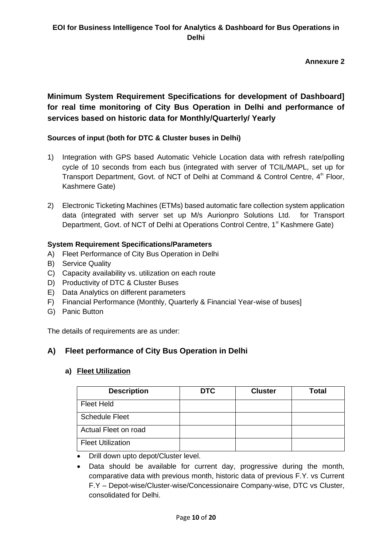**Annexure 2**

# **Minimum System Requirement Specifications for development of Dashboard] for real time monitoring of City Bus Operation in Delhi and performance of services based on historic data for Monthly/Quarterly/ Yearly**

## **Sources of input (both for DTC & Cluster buses in Delhi)**

- 1) Integration with GPS based Automatic Vehicle Location data with refresh rate/polling cycle of 10 seconds from each bus (integrated with server of TCIL/MAPL, set up for Transport Department, Govt. of NCT of Delhi at Command & Control Centre, 4<sup>th</sup> Floor, Kashmere Gate)
- 2) Electronic Ticketing Machines (ETMs) based automatic fare collection system application data (integrated with server set up M/s Aurionpro Solutions Ltd. for Transport Department, Govt. of NCT of Delhi at Operations Control Centre, 1<sup>st</sup> Kashmere Gate)

### **System Requirement Specifications/Parameters**

- A) Fleet Performance of City Bus Operation in Delhi
- B) Service Quality
- C) Capacity availability vs. utilization on each route
- D) Productivity of DTC & Cluster Buses
- E) Data Analytics on different parameters
- F) Financial Performance (Monthly, Quarterly & Financial Year-wise of buses]
- G) Panic Button

The details of requirements are as under:

## **A) Fleet performance of City Bus Operation in Delhi**

### **a) Fleet Utilization**

| <b>Description</b>       | <b>DTC</b> | <b>Cluster</b> | <b>Total</b> |
|--------------------------|------------|----------------|--------------|
| <b>Fleet Held</b>        |            |                |              |
| <b>Schedule Fleet</b>    |            |                |              |
| Actual Fleet on road     |            |                |              |
| <b>Fleet Utilization</b> |            |                |              |

- Drill down upto depot/Cluster level.
- Data should be available for current day, progressive during the month, comparative data with previous month, historic data of previous F.Y. vs Current F.Y – Depot-wise/Cluster-wise/Concessionaire Company-wise, DTC vs Cluster, consolidated for Delhi.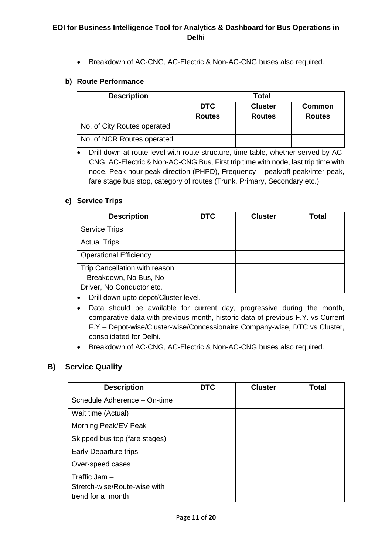Breakdown of AC-CNG, AC-Electric & Non-AC-CNG buses also required.

#### **b) Route Performance**

| <b>Description</b>          | <b>Total</b>  |                |               |
|-----------------------------|---------------|----------------|---------------|
|                             | <b>DTC</b>    | <b>Cluster</b> | <b>Common</b> |
|                             | <b>Routes</b> | <b>Routes</b>  | <b>Routes</b> |
| No. of City Routes operated |               |                |               |
| No. of NCR Routes operated  |               |                |               |

 Drill down at route level with route structure, time table, whether served by AC-CNG, AC-Electric & Non-AC-CNG Bus, First trip time with node, last trip time with node, Peak hour peak direction (PHPD), Frequency – peak/off peak/inter peak, fare stage bus stop, category of routes (Trunk, Primary, Secondary etc.).

### **c) Service Trips**

| <b>Description</b>            | <b>DTC</b> | <b>Cluster</b> | <b>Total</b> |
|-------------------------------|------------|----------------|--------------|
| <b>Service Trips</b>          |            |                |              |
| <b>Actual Trips</b>           |            |                |              |
| <b>Operational Efficiency</b> |            |                |              |
| Trip Cancellation with reason |            |                |              |
| - Breakdown, No Bus, No       |            |                |              |
| Driver, No Conductor etc.     |            |                |              |

Drill down upto depot/Cluster level.

- Data should be available for current day, progressive during the month, comparative data with previous month, historic data of previous F.Y. vs Current F.Y – Depot-wise/Cluster-wise/Concessionaire Company-wise, DTC vs Cluster, consolidated for Delhi.
- Breakdown of AC-CNG, AC-Electric & Non-AC-CNG buses also required.

### **B) Service Quality**

| <b>Description</b>            | <b>DTC</b> | <b>Cluster</b> | Total |
|-------------------------------|------------|----------------|-------|
| Schedule Adherence - On-time  |            |                |       |
| Wait time (Actual)            |            |                |       |
| Morning Peak/EV Peak          |            |                |       |
| Skipped bus top (fare stages) |            |                |       |
| Early Departure trips         |            |                |       |
| Over-speed cases              |            |                |       |
| Traffic Jam $-$               |            |                |       |
| Stretch-wise/Route-wise with  |            |                |       |
| trend for a month             |            |                |       |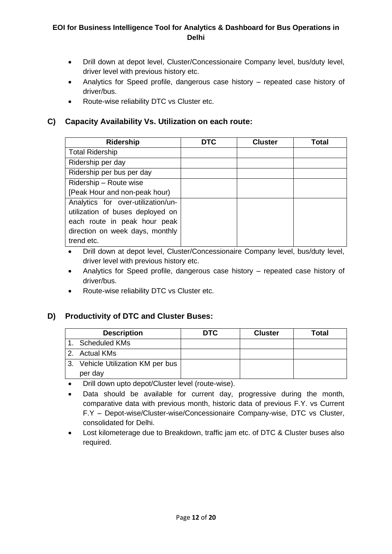- Drill down at depot level, Cluster/Concessionaire Company level, bus/duty level, driver level with previous history etc.
- Analytics for Speed profile, dangerous case history repeated case history of driver/bus.
- Route-wise reliability DTC vs Cluster etc.

## **C) Capacity Availability Vs. Utilization on each route:**

| <b>Ridership</b>                   | <b>DTC</b> | <b>Cluster</b> | Total |
|------------------------------------|------------|----------------|-------|
| <b>Total Ridership</b>             |            |                |       |
| Ridership per day                  |            |                |       |
| Ridership per bus per day          |            |                |       |
| Ridership - Route wise             |            |                |       |
| [Peak Hour and non-peak hour)      |            |                |       |
| Analytics for over-utilization/un- |            |                |       |
| utilization of buses deployed on   |            |                |       |
| each route in peak hour peak       |            |                |       |
| direction on week days, monthly    |            |                |       |
| trend etc.                         |            |                |       |

- Drill down at depot level, Cluster/Concessionaire Company level, bus/duty level, driver level with previous history etc.
- Analytics for Speed profile, dangerous case history repeated case history of driver/bus.
- Route-wise reliability DTC vs Cluster etc.

## **D) Productivity of DTC and Cluster Buses:**

| <b>Description</b>                | <b>DTC</b> | <b>Cluster</b> | Total |
|-----------------------------------|------------|----------------|-------|
| <b>Scheduled KMs</b>              |            |                |       |
| 2. Actual KMs                     |            |                |       |
| 3. Vehicle Utilization KM per bus |            |                |       |
| per day                           |            |                |       |

Drill down upto depot/Cluster level (route-wise).

- Data should be available for current day, progressive during the month, comparative data with previous month, historic data of previous F.Y. vs Current F.Y – Depot-wise/Cluster-wise/Concessionaire Company-wise, DTC vs Cluster, consolidated for Delhi.
- Lost kilometerage due to Breakdown, traffic jam etc. of DTC & Cluster buses also required.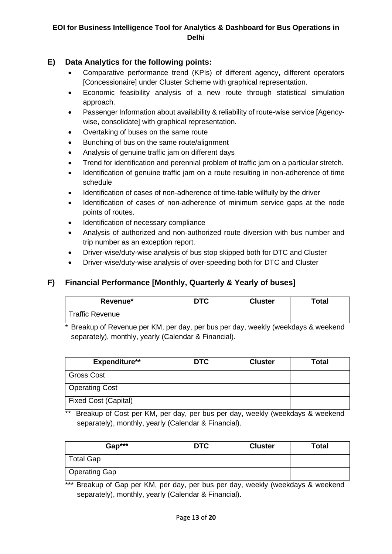## **E) Data Analytics for the following points:**

- Comparative performance trend (KPIs) of different agency, different operators [Concessionaire] under Cluster Scheme with graphical representation.
- Economic feasibility analysis of a new route through statistical simulation approach.
- Passenger Information about availability & reliability of route-wise service [Agencywise, consolidate] with graphical representation.
- Overtaking of buses on the same route
- Bunching of bus on the same route/alignment
- Analysis of genuine traffic jam on different days
- Trend for identification and perennial problem of traffic jam on a particular stretch.
- Identification of genuine traffic jam on a route resulting in non-adherence of time schedule
- Identification of cases of non-adherence of time-table willfully by the driver
- Identification of cases of non-adherence of minimum service gaps at the node points of routes.
- Identification of necessary compliance
- Analysis of authorized and non-authorized route diversion with bus number and trip number as an exception report.
- Driver-wise/duty-wise analysis of bus stop skipped both for DTC and Cluster
- Driver-wise/duty-wise analysis of over-speeding both for DTC and Cluster

## **F) Financial Performance [Monthly, Quarterly & Yearly of buses]**

| Revenue*               | <b>DTC</b> | <b>Cluster</b> | Total |
|------------------------|------------|----------------|-------|
| <b>Traffic Revenue</b> |            |                |       |

Breakup of Revenue per KM, per day, per bus per day, weekly (weekdays & weekend separately), monthly, yearly (Calendar & Financial).

| <b>Expenditure**</b>        | <b>DTC</b> | <b>Cluster</b> | Total |
|-----------------------------|------------|----------------|-------|
| <b>Gross Cost</b>           |            |                |       |
| <b>Operating Cost</b>       |            |                |       |
| <b>Fixed Cost (Capital)</b> |            |                |       |

Breakup of Cost per KM, per day, per bus per day, weekly (weekdays & weekend separately), monthly, yearly (Calendar & Financial).

| Gap***               | <b>DTC</b> | <b>Cluster</b> | <b>Total</b> |
|----------------------|------------|----------------|--------------|
| <b>Total Gap</b>     |            |                |              |
| <b>Operating Gap</b> |            |                |              |

\*\*\* Breakup of Gap per KM, per day, per bus per day, weekly (weekdays & weekend separately), monthly, yearly (Calendar & Financial).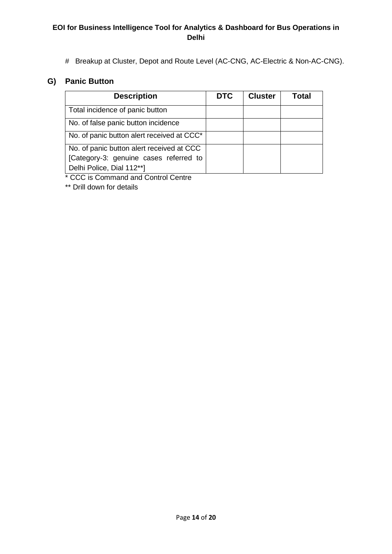# Breakup at Cluster, Depot and Route Level (AC-CNG, AC-Electric & Non-AC-CNG).

## **G) Panic Button**

| <b>Description</b>                         | <b>DTC</b> | <b>Cluster</b> | Total |
|--------------------------------------------|------------|----------------|-------|
| Total incidence of panic button            |            |                |       |
| No. of false panic button incidence        |            |                |       |
| No. of panic button alert received at CCC* |            |                |       |
| No. of panic button alert received at CCC  |            |                |       |
| [Category-3: genuine cases referred to     |            |                |       |
| Delhi Police, Dial 112**]                  |            |                |       |

\* CCC is Command and Control Centre

\*\* Drill down for details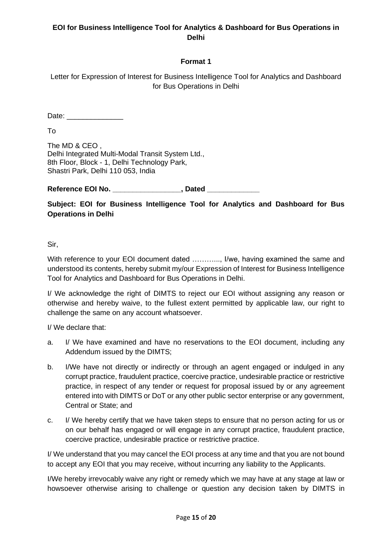## **Format 1**

Letter for Expression of Interest for Business Intelligence Tool for Analytics and Dashboard for Bus Operations in Delhi

Date:  $\Box$ 

To

The MD & CEO , Delhi Integrated Multi-Modal Transit System Ltd., 8th Floor, Block - 1, Delhi Technology Park, Shastri Park, Delhi 110 053, India

**Reference EOI No. \_\_\_\_\_\_\_\_\_\_\_\_\_\_\_\_\_, Dated \_\_\_\_\_\_\_\_\_\_\_\_\_**

**Subject: EOI for Business Intelligence Tool for Analytics and Dashboard for Bus Operations in Delhi** 

Sir,

With reference to your EOI document dated ............., I/we, having examined the same and understood its contents, hereby submit my/our Expression of Interest for Business Intelligence Tool for Analytics and Dashboard for Bus Operations in Delhi.

I/ We acknowledge the right of DIMTS to reject our EOI without assigning any reason or otherwise and hereby waive, to the fullest extent permitted by applicable law, our right to challenge the same on any account whatsoever.

I/ We declare that:

- a. I/ We have examined and have no reservations to the EOI document, including any Addendum issued by the DIMTS;
- b. I/We have not directly or indirectly or through an agent engaged or indulged in any corrupt practice, fraudulent practice, coercive practice, undesirable practice or restrictive practice, in respect of any tender or request for proposal issued by or any agreement entered into with DIMTS or DoT or any other public sector enterprise or any government, Central or State; and
- c. I/ We hereby certify that we have taken steps to ensure that no person acting for us or on our behalf has engaged or will engage in any corrupt practice, fraudulent practice, coercive practice, undesirable practice or restrictive practice.

I/ We understand that you may cancel the EOI process at any time and that you are not bound to accept any EOI that you may receive, without incurring any liability to the Applicants.

I/We hereby irrevocably waive any right or remedy which we may have at any stage at law or howsoever otherwise arising to challenge or question any decision taken by DIMTS in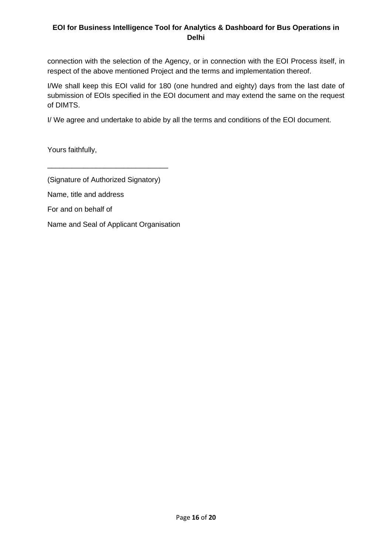connection with the selection of the Agency, or in connection with the EOI Process itself, in respect of the above mentioned Project and the terms and implementation thereof.

I/We shall keep this EOI valid for 180 (one hundred and eighty) days from the last date of submission of EOIs specified in the EOI document and may extend the same on the request of DIMTS.

I/ We agree and undertake to abide by all the terms and conditions of the EOI document.

Yours faithfully,

(Signature of Authorized Signatory)

\_\_\_\_\_\_\_\_\_\_\_\_\_\_\_\_\_\_\_\_\_\_\_\_\_\_\_\_\_\_

Name, title and address

For and on behalf of

Name and Seal of Applicant Organisation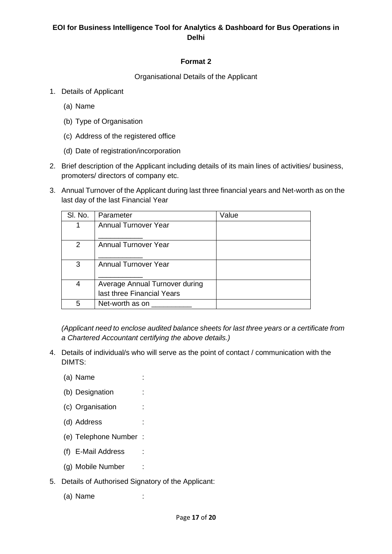### **Format 2**

Organisational Details of the Applicant

- 1. Details of Applicant
	- (a) Name
	- (b) Type of Organisation
	- (c) Address of the registered office
	- (d) Date of registration/incorporation
- 2. Brief description of the Applicant including details of its main lines of activities/ business, promoters/ directors of company etc.
- 3. Annual Turnover of the Applicant during last three financial years and Net-worth as on the last day of the last Financial Year

| SI. No. | Parameter                                                    | Value |
|---------|--------------------------------------------------------------|-------|
|         | <b>Annual Turnover Year</b>                                  |       |
| 2       | <b>Annual Turnover Year</b>                                  |       |
| 3       | <b>Annual Turnover Year</b>                                  |       |
| 4       | Average Annual Turnover during<br>last three Financial Years |       |
| 5       | Net-worth as on                                              |       |

*(Applicant need to enclose audited balance sheets for last three years or a certificate from a Chartered Accountant certifying the above details.)*

- 4. Details of individual/s who will serve as the point of contact / communication with the DIMTS:
	- (a) Name :
	- (b) Designation :
	- (c) Organisation :
	- (d) Address :
	- (e) Telephone Number :
	- (f) E-Mail Address :
	- (g) Mobile Number :
- 5. Details of Authorised Signatory of the Applicant:
	- (a) Name :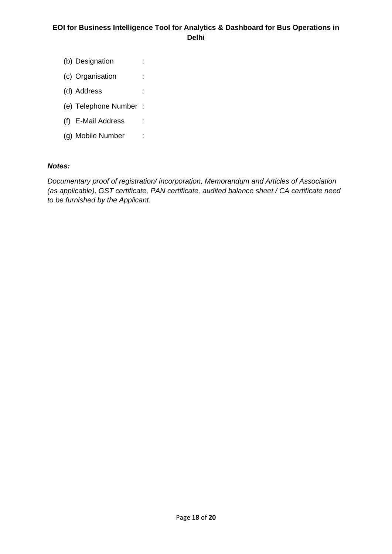- (b) Designation :
- (c) Organisation :
- (d) Address :
- (e) Telephone Number :
- (f) E-Mail Address :
- (g) Mobile Number :

#### *Notes:*

*Documentary proof of registration/ incorporation, Memorandum and Articles of Association (as applicable), GST certificate, PAN certificate, audited balance sheet / CA certificate need to be furnished by the Applicant.*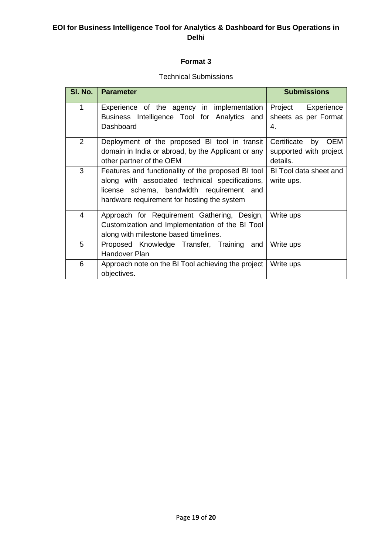### **Format 3**

### Technical Submissions

| SI. No.                                                 | <b>Parameter</b>                                   | <b>Submissions</b>              |  |  |
|---------------------------------------------------------|----------------------------------------------------|---------------------------------|--|--|
| 1                                                       | Experience of the agency in implementation         | Project<br>Experience           |  |  |
|                                                         | Business Intelligence Tool for Analytics and       | sheets as per Format            |  |  |
|                                                         | Dashboard                                          | 4.                              |  |  |
| $\overline{2}$                                          | Deployment of the proposed BI tool in transit      | Certificate<br>by<br><b>OEM</b> |  |  |
|                                                         | domain in India or abroad, by the Applicant or any | supported with project          |  |  |
|                                                         | other partner of the OEM                           | details.                        |  |  |
| 3                                                       | Features and functionality of the proposed BI tool | BI Tool data sheet and          |  |  |
|                                                         | along with associated technical specifications,    | write ups.                      |  |  |
|                                                         | license schema, bandwidth requirement and          |                                 |  |  |
|                                                         | hardware requirement for hosting the system        |                                 |  |  |
| $\overline{4}$                                          | Approach for Requirement Gathering, Design,        | Write ups                       |  |  |
|                                                         | Customization and Implementation of the BI Tool    |                                 |  |  |
|                                                         | along with milestone based timelines.              |                                 |  |  |
| 5                                                       | Proposed Knowledge Transfer, Training and          | Write ups                       |  |  |
|                                                         | Handover Plan                                      |                                 |  |  |
| 6<br>Approach note on the BI Tool achieving the project |                                                    | Write ups                       |  |  |
|                                                         | objectives.                                        |                                 |  |  |